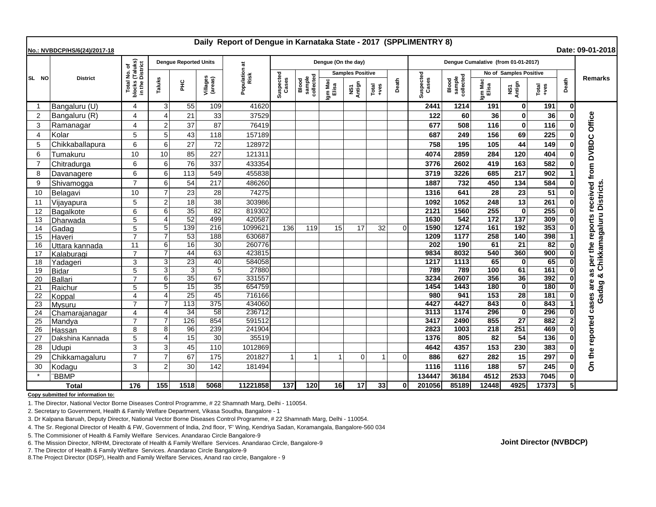| Daily Report of Dengue in Karnataka State - 2017 (SPPLIMENTRY 8)<br>Date: 09-01-2018<br>No.: NVBDCP/HS/6(24)/2017-18 |                  |                                                                 |                            |                              |                     |                       |                    |                              |                         |                |               |          |                                     |                              |                  |                        |                 |       |                               |
|----------------------------------------------------------------------------------------------------------------------|------------------|-----------------------------------------------------------------|----------------------------|------------------------------|---------------------|-----------------------|--------------------|------------------------------|-------------------------|----------------|---------------|----------|-------------------------------------|------------------------------|------------------|------------------------|-----------------|-------|-------------------------------|
|                                                                                                                      | <b>District</b>  |                                                                 |                            | <b>Dengue Reported Units</b> |                     |                       |                    |                              | Dengue (On the day)     |                |               |          | Dengue Cumalative (from 01-01-2017) |                              |                  |                        |                 |       |                               |
| SL NO                                                                                                                |                  | l No. of<br>(Taluks)<br>District<br>Total<br>blocks<br>in the I |                            |                              |                     |                       |                    |                              | <b>Samples Positive</b> |                |               |          |                                     |                              |                  | No of Samples Positive |                 |       |                               |
|                                                                                                                      |                  |                                                                 | Taluks                     | 울                            | Villages<br>(areas) | Population at<br>Risk | Suspected<br>Cases | sample<br>collected<br>Blood | Igm Mac<br>Elisa        | NS1<br>Antign  | Total<br>+ves | Death    | Suspected<br>Cases                  | sample<br>collected<br>Blood | Igm Mac<br>Elisa | NS1<br>Antign          | Total<br>+ves   | Death | <b>Remarks</b>                |
| -1                                                                                                                   | Bangaluru (U)    | 4                                                               | 3                          | 55                           | 109                 | 41620                 |                    |                              |                         |                |               |          | 2441                                | 1214                         | 191              | 0                      | 191             | 0     |                               |
| $\overline{2}$                                                                                                       | Bangaluru (R)    | 4                                                               | $\Delta$                   | 21                           | 33                  | 37529                 |                    |                              |                         |                |               |          | 122                                 | 60                           | 36               | O                      | 36              |       | Office                        |
| 3                                                                                                                    | Ramanagar        | 4                                                               | $\overline{2}$             | 37                           | 87                  | 76419                 |                    |                              |                         |                |               |          | 677                                 | 508                          | 116              | $\bf{0}$               | 116             |       |                               |
| $\overline{4}$                                                                                                       | Kolar            | 5                                                               | 5                          | 43                           | 118                 | 157189                |                    |                              |                         |                |               |          | 687                                 | 249                          | 156              | 69                     | 225             |       |                               |
| 5                                                                                                                    | Chikkaballapura  | 6                                                               | 6                          | 27                           | 72                  | 128972                |                    |                              |                         |                |               |          | 758                                 | 195                          | 105              | 44                     | 149             |       |                               |
| 6                                                                                                                    | Tumakuru         | 10                                                              | 10                         | 85                           | 227                 | 121311                |                    |                              |                         |                |               |          | 4074                                | 2859                         | 284              | 120                    | 404             |       | <b>DVBDC</b>                  |
| 7                                                                                                                    | Chitradurga      | 6                                                               | 6                          | 76                           | 337                 | 433354                |                    |                              |                         |                |               |          | 3776                                | 2602                         | 419              | 163                    | 582             |       |                               |
| 8                                                                                                                    | Davanagere       | 6                                                               | 6                          | 113                          | 549                 | 455838                |                    |                              |                         |                |               |          | 3719                                | 3226                         | 685              | 217                    | 902             |       | per the reports received from |
| 9                                                                                                                    | Shivamogga       | $\overline{7}$                                                  | 6                          | 54                           | 217                 | 486260                |                    |                              |                         |                |               |          | 1887                                | 732                          | 450              | 134                    | 584             |       |                               |
| 10                                                                                                                   | Belagavi         | 10                                                              | $\overline{7}$             | 23                           | 28                  | 74275                 |                    |                              |                         |                |               |          | 1316                                | 641                          | 28               | 23                     | 51              |       | Chikkamagaluru Districts      |
| 11                                                                                                                   | Vijayapura       | 5                                                               | $\overline{2}$             | 18                           | 38                  | 303986                |                    |                              |                         |                |               |          | 1092                                | 1052                         | 248              | 13                     | 261             |       |                               |
| 12                                                                                                                   | Bagalkote        | 6                                                               | 6                          | $\overline{35}$              | 82                  | 819302                |                    |                              |                         |                |               |          | 2121                                | 1560                         | 255              | $\Omega$               | 255             |       |                               |
| 13                                                                                                                   | Dharwada         | 5                                                               | $\boldsymbol{\Delta}$      | 52                           | 499                 | 420587                |                    |                              |                         |                |               |          | 1630                                | 542                          | 172              | 137                    | 309             |       |                               |
| 14                                                                                                                   | Gadag            | 5                                                               | 5                          | 139                          | 216                 | 1099621               | 136                | 119                          | 15                      | 17             | 32            | $\Omega$ | 1590                                | 1274                         | 161              | 192                    | 353             |       |                               |
| 15                                                                                                                   | Haveri           | $\overline{7}$                                                  | 7                          | 53                           | 188                 | 630687                |                    |                              |                         |                |               |          | 1209                                | 1177                         | 258              | 140                    | 398             |       |                               |
| 16                                                                                                                   | Uttara kannada   | 11                                                              | 6                          | 16                           | 30                  | 260776                |                    |                              |                         |                |               |          | 202                                 | 190                          | 61               | $\overline{21}$        | $\overline{82}$ |       |                               |
| 17                                                                                                                   | Kalaburagi       | $\overline{7}$                                                  |                            | $\overline{44}$              | 63                  | 423815                |                    |                              |                         |                |               |          | 9834                                | 8032                         | 540              | 360                    | 900             |       |                               |
| 18                                                                                                                   | Yadageri         | 3                                                               | 3                          | 23                           | 40                  | 584058                |                    |                              |                         |                |               |          | 1217                                | 1113                         | 65               | 0                      | 65              |       |                               |
| 19                                                                                                                   | <b>Bidar</b>     | 5                                                               | 3                          | 3                            | $\overline{5}$      | 27880                 |                    |                              |                         |                |               |          | 789                                 | 789                          | 100              | 61                     | 161             |       | as<br>×                       |
| 20                                                                                                                   | <b>Ballari</b>   | $\overline{7}$                                                  | 6                          | 35<br>15                     | 67<br>35            | 331557<br>654759      |                    |                              |                         |                |               |          | 3234                                | 2607<br>1443                 | 356<br>180       | 36<br>$\mathbf 0$      | 392<br>180      | 0     | are                           |
| 21                                                                                                                   | Raichur          | 5                                                               | 5<br>$\boldsymbol{\Delta}$ | $\overline{25}$              | 45                  | 716166                |                    |                              |                         |                |               |          | 1454<br>980                         | 941                          | 153              | 28                     | 181             |       |                               |
| 22<br>23                                                                                                             | Koppal<br>Mysuru | 4<br>$\overline{7}$                                             |                            | 113                          | 375                 | 434060                |                    |                              |                         |                |               |          | 4427                                | 4427                         | 843              | $\mathbf 0$            | 843             |       | Gadag                         |
| 24                                                                                                                   | Chamarajanagar   | 4                                                               | $\boldsymbol{\Delta}$      | 34                           | 58                  | 236712                |                    |                              |                         |                |               |          | 3113                                | 1174                         | 296              | 0                      | 296             | 0l    | cases                         |
| 25                                                                                                                   | Mandya           | 7                                                               |                            | 126                          | 854                 | 591512                |                    |                              |                         |                |               |          | 3417                                | 2490                         | 855              | $\overline{27}$        | 882             |       |                               |
| 26                                                                                                                   | Hassan           | 8                                                               | 8                          | 96                           | 239                 | 241904                |                    |                              |                         |                |               |          | 2823                                | 1003                         | $\overline{218}$ | 251                    | 469             |       |                               |
| 27                                                                                                                   | Dakshina Kannada | 5                                                               | $\boldsymbol{\Delta}$      | 15                           | 30                  | 35519                 |                    |                              |                         |                |               |          | 1376                                | 805                          | 82               | 54                     | 136             |       |                               |
| 28                                                                                                                   | Udupi            | 3                                                               | 3                          | 45                           | 110                 | 1012869               |                    |                              |                         |                |               |          | 4642                                | 4357                         | 153              | 230                    | 383             |       |                               |
| 29                                                                                                                   | Chikkamagaluru   | $\overline{7}$                                                  | $\overline{7}$             | 67                           | 175                 | 201827                | -1                 |                              |                         | $\overline{0}$ |               |          | 886                                 | 627                          | 282              | 15                     | 297             |       |                               |
| 30                                                                                                                   | Kodagu           | 3                                                               | $\overline{2}$             | 30                           | 142                 | 181494                |                    |                              |                         |                |               |          | 1116                                | 1116                         | 188              | 57                     | 245             |       | On the reported               |
|                                                                                                                      | <b>BBMP</b>      |                                                                 |                            |                              |                     |                       |                    |                              |                         |                |               |          | 134447                              | 36184                        | 4512             | 2533                   | 7045            |       |                               |
| <b>Total</b>                                                                                                         |                  | 176                                                             | 155                        | 1518                         | 5068                | 11221858              | 137                | 120                          | 16                      | 17             | 33            | ΩI       | 201056                              | 85189                        | 12448            | 4925                   | 17373           | 5Ι    |                               |

**Copy submitted for information to:**

1. The Director, National Vector Borne Diseases Control Programme, # 22 Shamnath Marg, Delhi - 110054.

2. Secretary to Government, Health & Family Welfare Department, Vikasa Soudha, Bangalore - 1

3. Dr Kalpana Baruah, Deputy Director, National Vector Borne Diseases Control Programme, # 22 Shamnath Marg, Delhi - 110054.

4. The Sr. Regional Director of Health & FW, Government of India, 2nd floor, 'F' Wing, Kendriya Sadan, Koramangala, Bangalore-560 034

5. The Commisioner of Health & Family Welfare Services. Anandarao Circle Bangalore-9

6. The Mission Director, NRHM, Directorate of Health & Family Welfare Services. Anandarao Circle, Bangalore-9

7. The Director of Health & Family Welfare Services. Anandarao Circle Bangalore-9

8.The Project Director (IDSP), Health and Family Welfare Services, Anand rao circle, Bangalore - 9

**Joint Director (NVBDCP)**